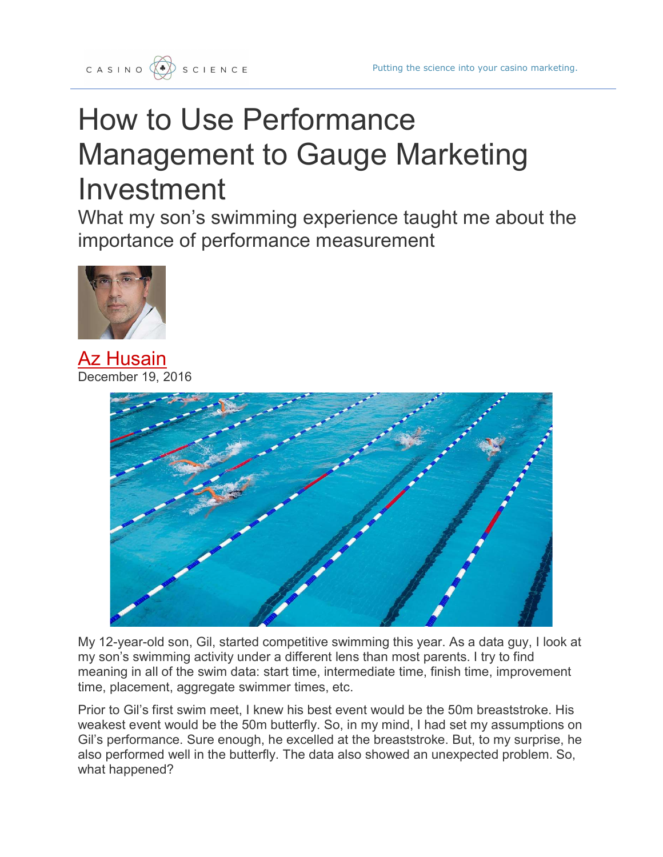

## How to Use Performance Management to Gauge Marketing Investment

What my son's swimming experience taught me about the importance of performance measurement



**Az Husain**  $2016$ 



My 12-year-old son, Gil, started competitive swimming this year. As a data guy, I look at my son's swimming activity under a different lens than most parents. I try to find meaning in all of the swim data: start time, intermediate time, finish time, improvement time, placement, aggregate swimmer times, etc.

Prior to Gil's first swim meet, I knew his best event would be the 50m breaststroke. His weakest event would be the 50m butterfly. So, in my mind, I had set my assumptions on Gil's performance. Sure enough, he excelled at the breaststroke. But, to my surprise, he also performed well in the butterfly. The data also showed an unexpected problem. So, what happened?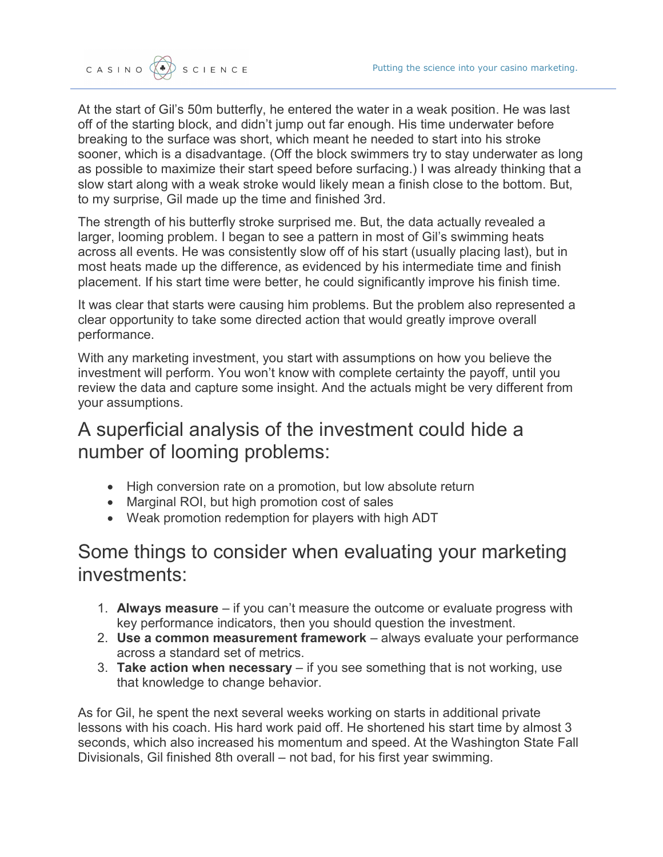At the start of Gil's 50m butterfly, he entered the water in a weak position. He was last off of the starting block, and didn't jump out far enough. His time underwater before breaking to the surface was short, which meant he needed to start into his stroke sooner, which is a disadvantage. (Off the block swimmers try to stay underwater as long as possible to maximize their start speed before surfacing.) I was already thinking that a slow start along with a weak stroke would likely mean a finish close to the bottom. But, to my surprise, Gil made up the time and finished 3rd.

The strength of his butterfly stroke surprised me. But, the data actually revealed a larger, looming problem. I began to see a pattern in most of Gil's swimming heats across all events. He was consistently slow off of his start (usually placing last), but in most heats made up the difference, as evidenced by his intermediate time and finish placement. If his start time were better, he could significantly improve his finish time.

It was clear that starts were causing him problems. But the problem also represented a clear opportunity to take some directed action that would greatly improve overall performance.

With any marketing investment, you start with assumptions on how you believe the investment will perform. You won't know with complete certainty the payoff, until you review the data and capture some insight. And the actuals might be very different from your assumptions.

## A superficial analysis of the investment could hide a number of looming problems:

- High conversion rate on a promotion, but low absolute return
- Marginal ROI, but high promotion cost of sales
- Weak promotion redemption for players with high ADT

## Some things to consider when evaluating your marketing investments:

- 1. Always measure  $-$  if you can't measure the outcome or evaluate progress with key performance indicators, then you should question the investment.
- 2. Use a common measurement framework always evaluate your performance across a standard set of metrics.
- 3. Take action when necessary  $-$  if you see something that is not working, use that knowledge to change behavior.

As for Gil, he spent the next several weeks working on starts in additional private lessons with his coach. His hard work paid off. He shortened his start time by almost 3 seconds, which also increased his momentum and speed. At the Washington State Fall Divisionals, Gil finished 8th overall – not bad, for his first year swimming.